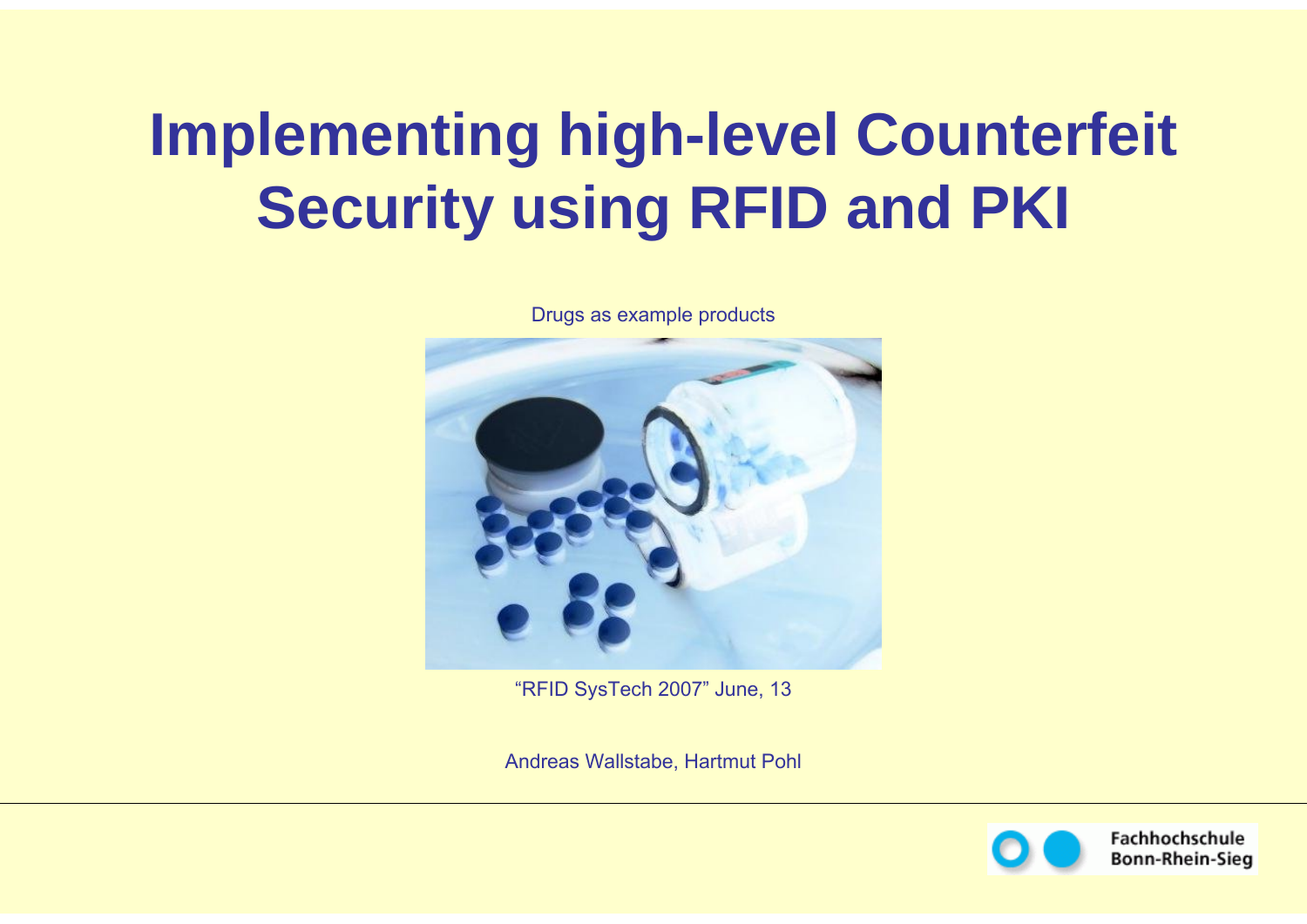# **Implementing high-level Counterfeit Security using RFID and PKI**

Drugs as example products



"RFID SysTech 2007" June, 13

Andreas Wallstabe, Hartmut Pohl



Fachhochschule **Bonn-Rhein-Sieg**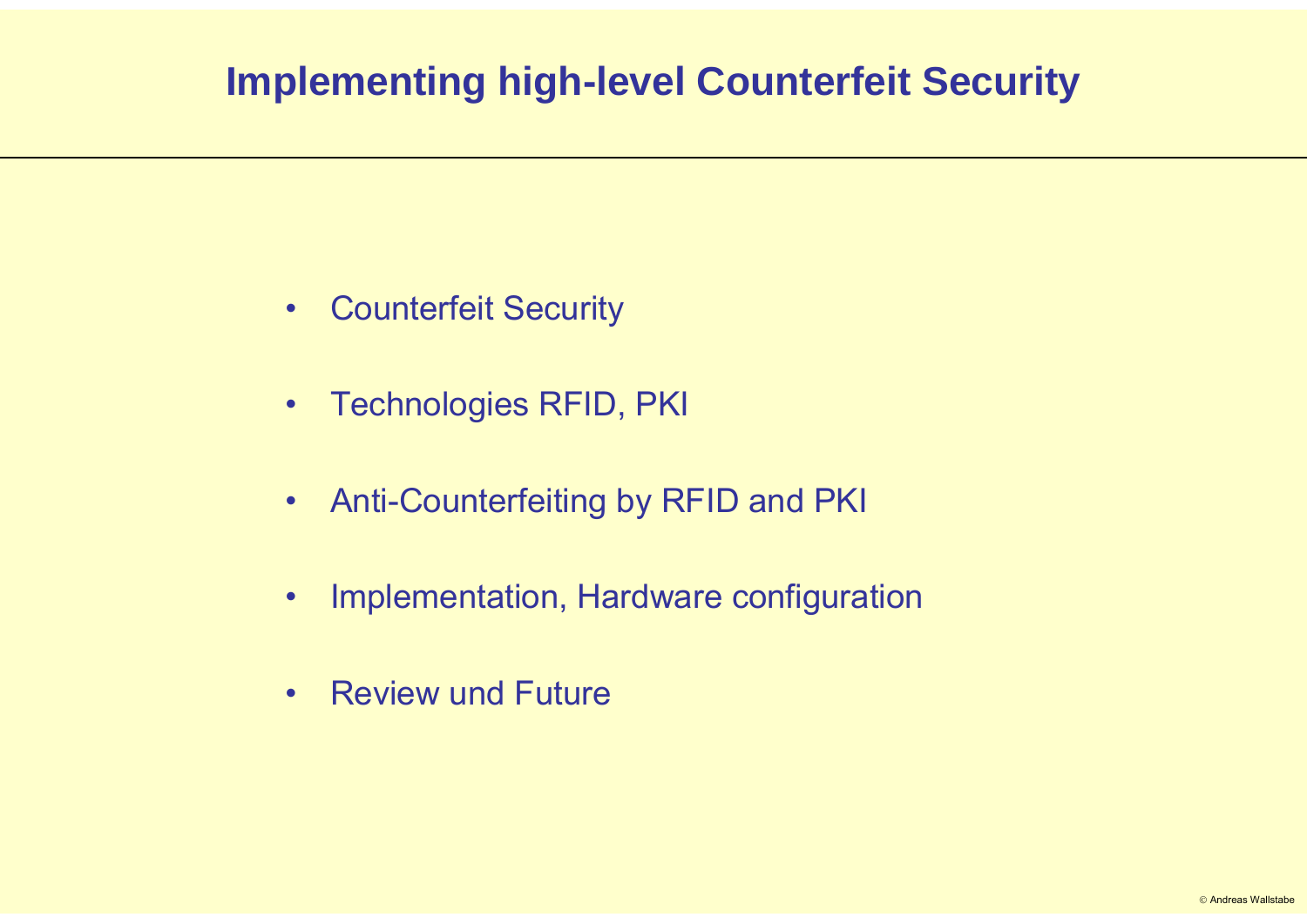- •Counterfeit Security
- •Technologies RFID, PKI
- •Anti-Counterfeiting by RFID and PKI
- •Implementation, Hardware configuration
- $\bullet$ Review und Future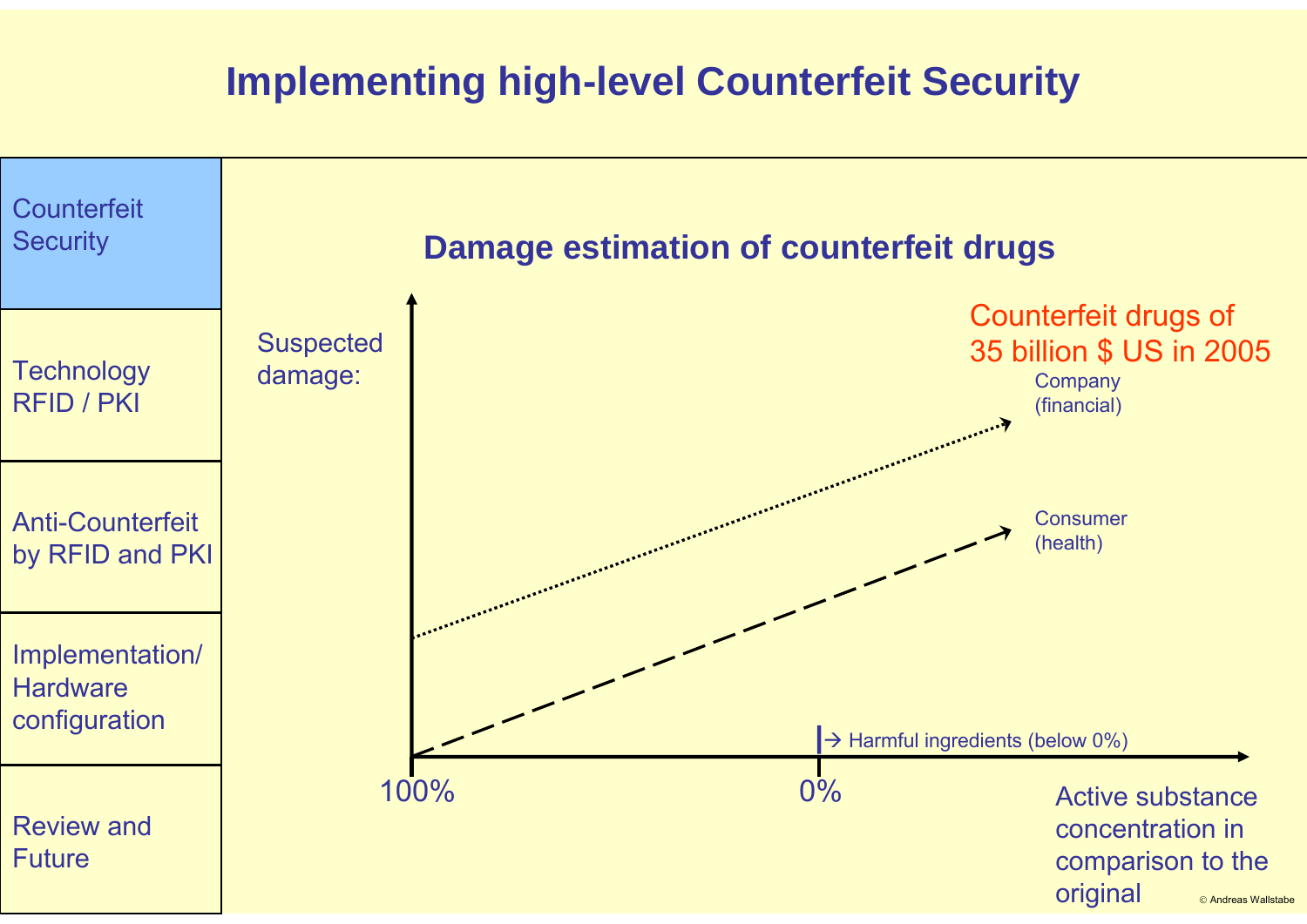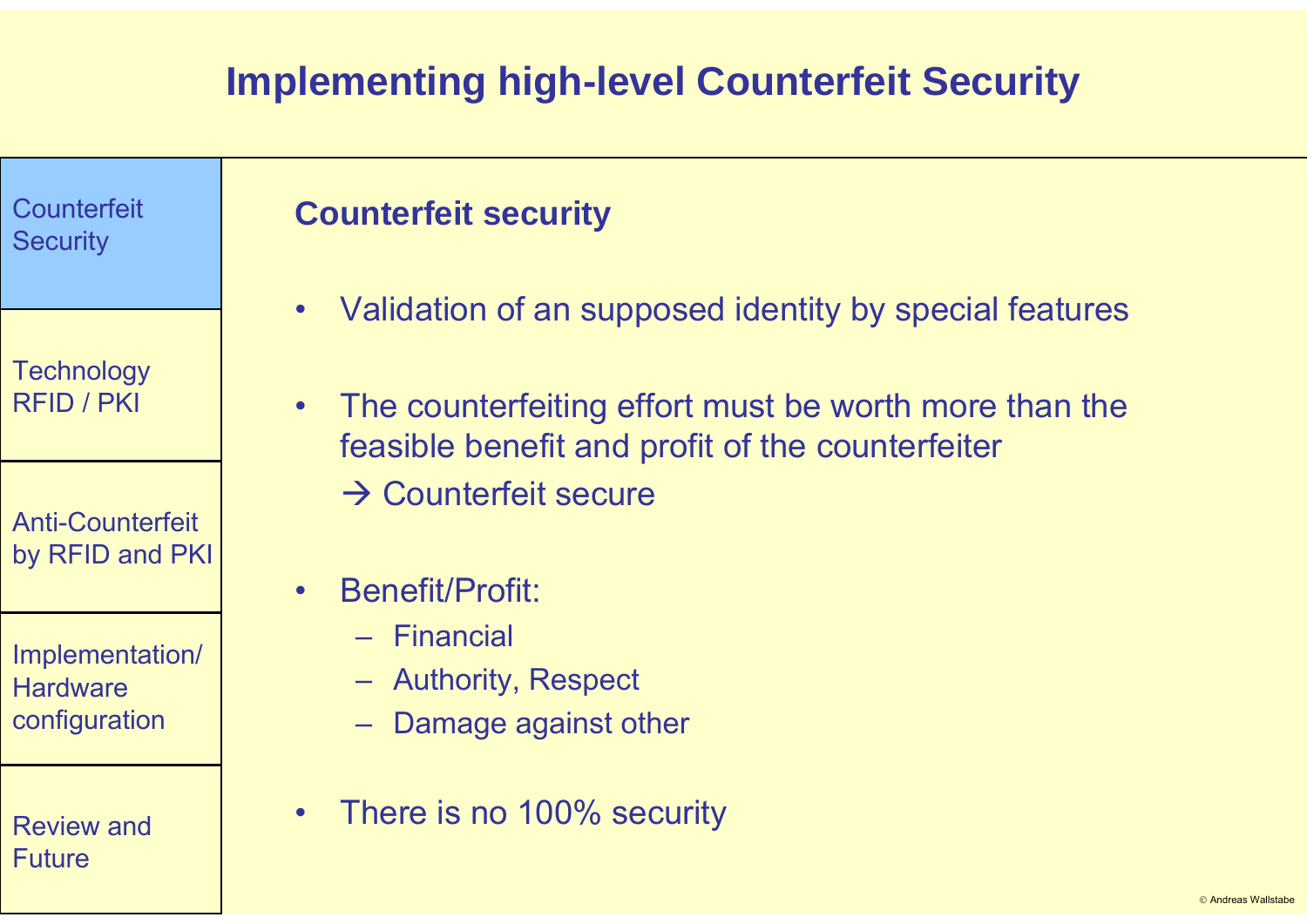| Counterfeit<br><b>Security</b>                      | <b>Counterfeit security</b>                                                                                                                                                                   |
|-----------------------------------------------------|-----------------------------------------------------------------------------------------------------------------------------------------------------------------------------------------------|
| <b>Technology</b><br><b>RFID / PKI</b>              | Validation of an supposed identity by special features<br>$\bullet$<br>The counterfeiting effort must be worth more than the<br>$\bullet$<br>feasible benefit and profit of the counterfeiter |
| <b>Anti-Counterfeit</b><br>by RFID and PKI          | $\rightarrow$ Counterfeit secure<br><b>Benefit/Profit:</b><br>$\bullet$                                                                                                                       |
| Implementation/<br><b>Hardware</b><br>configuration | - Financial<br>- Authority, Respect<br>Damage against other                                                                                                                                   |
| <b>Review and</b><br><b>Future</b>                  | There is no 100% security<br>$\bullet$                                                                                                                                                        |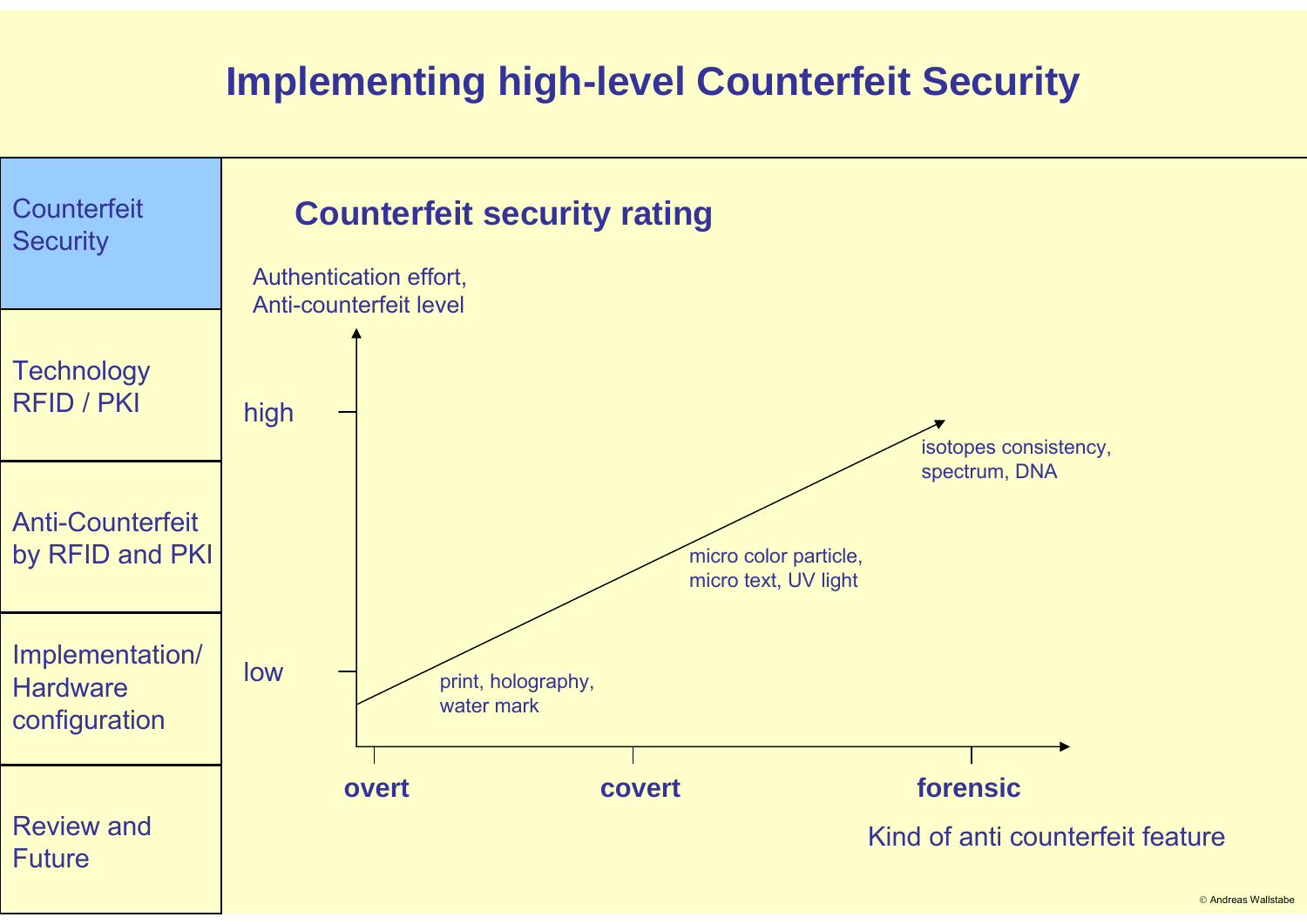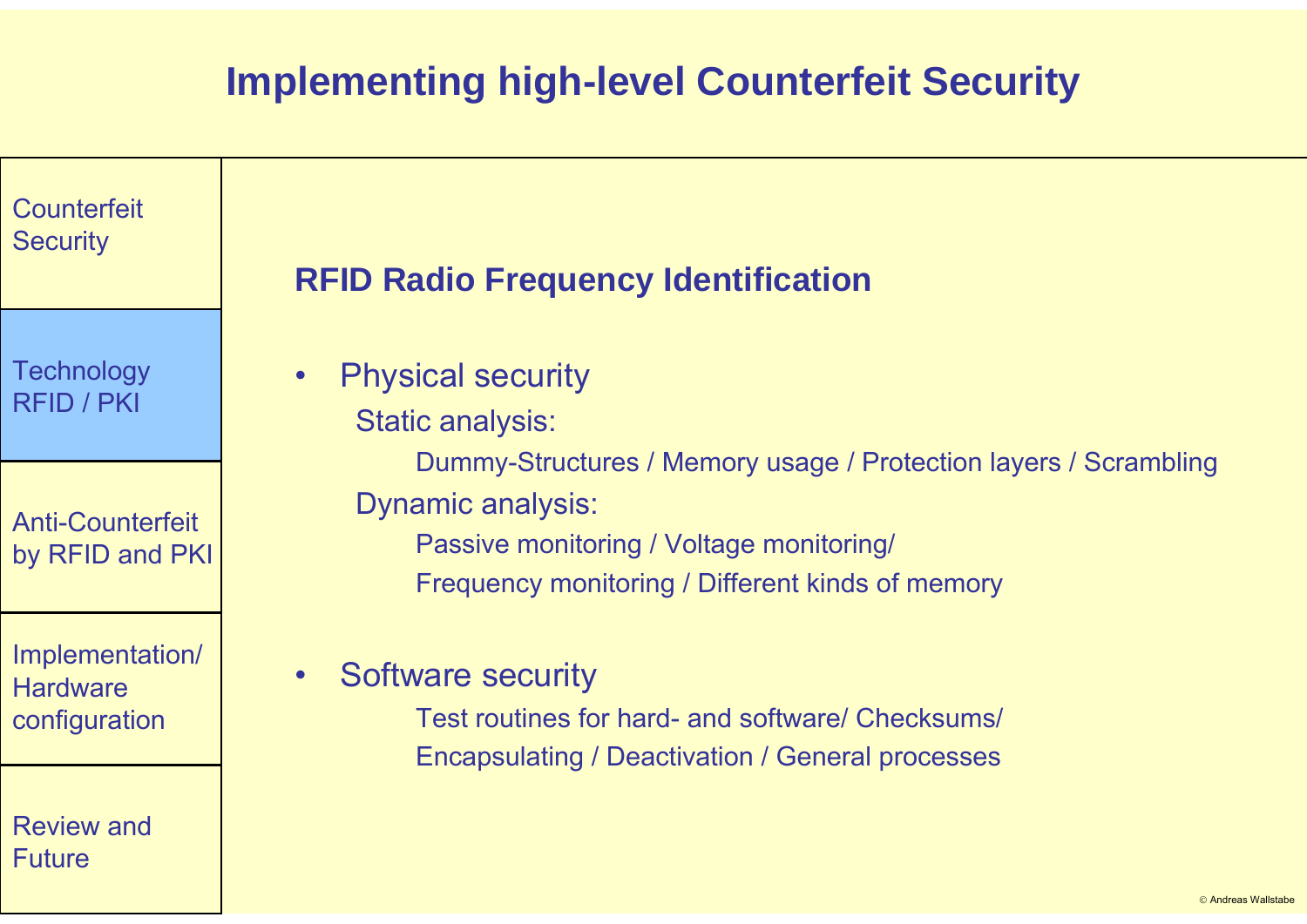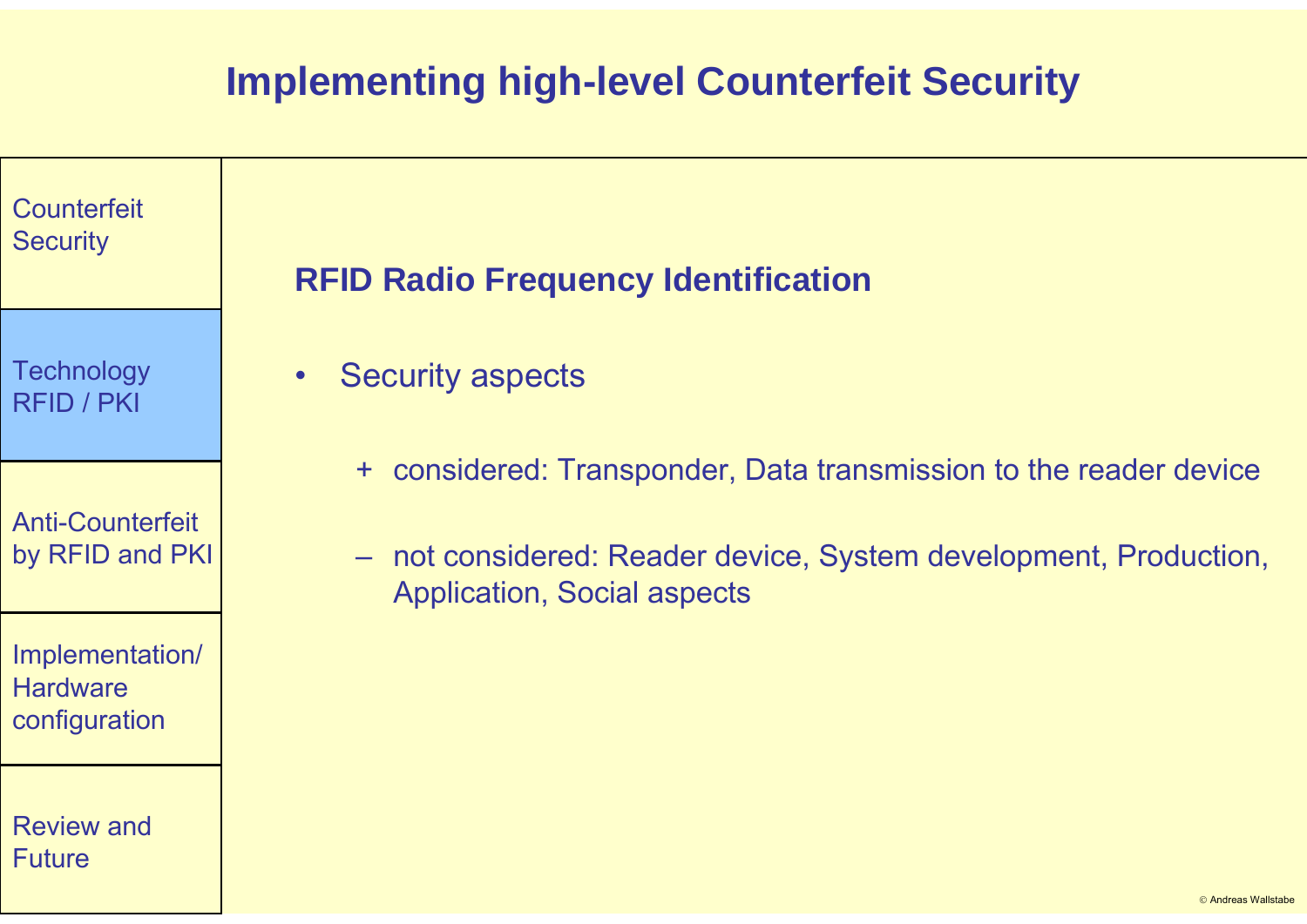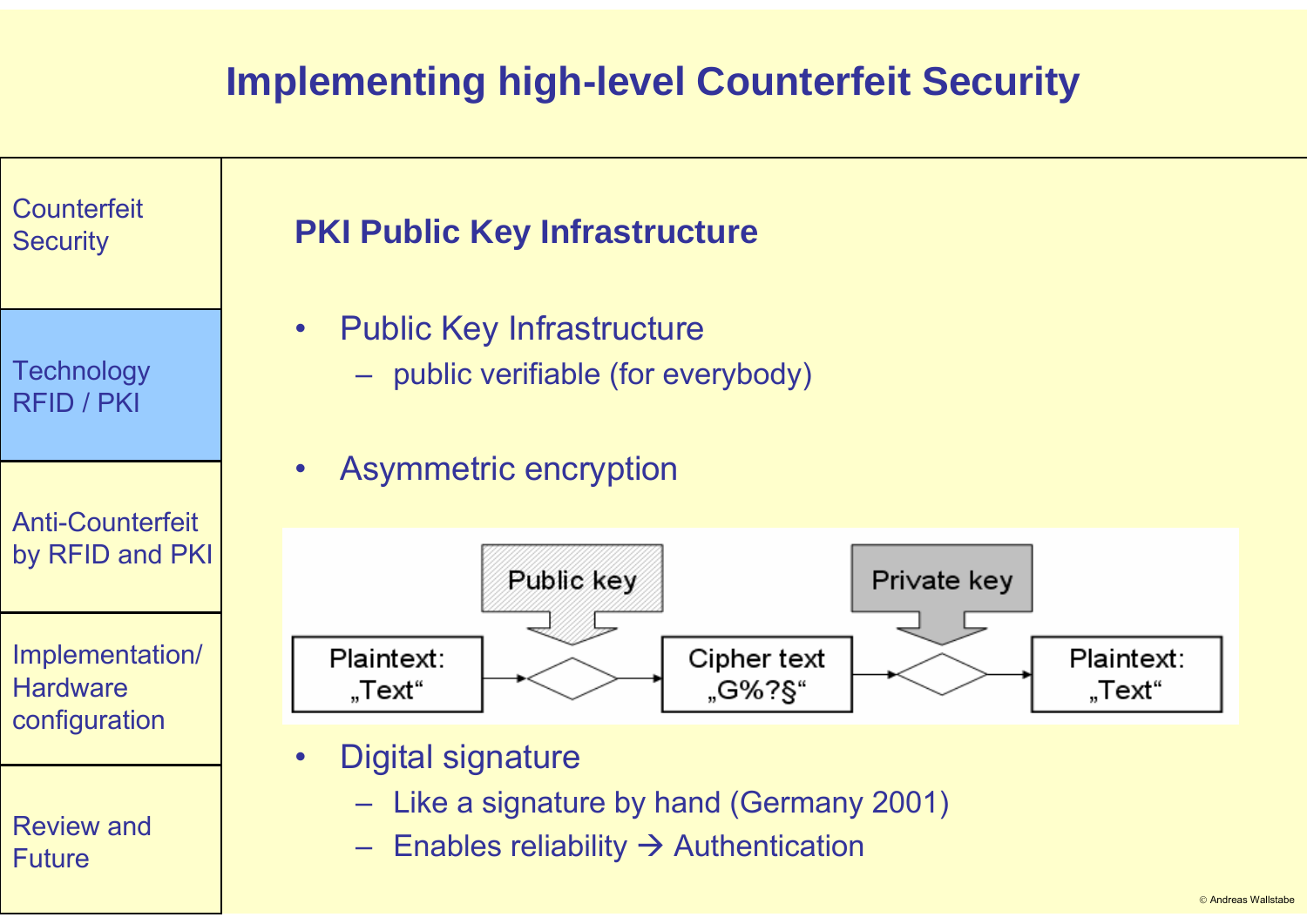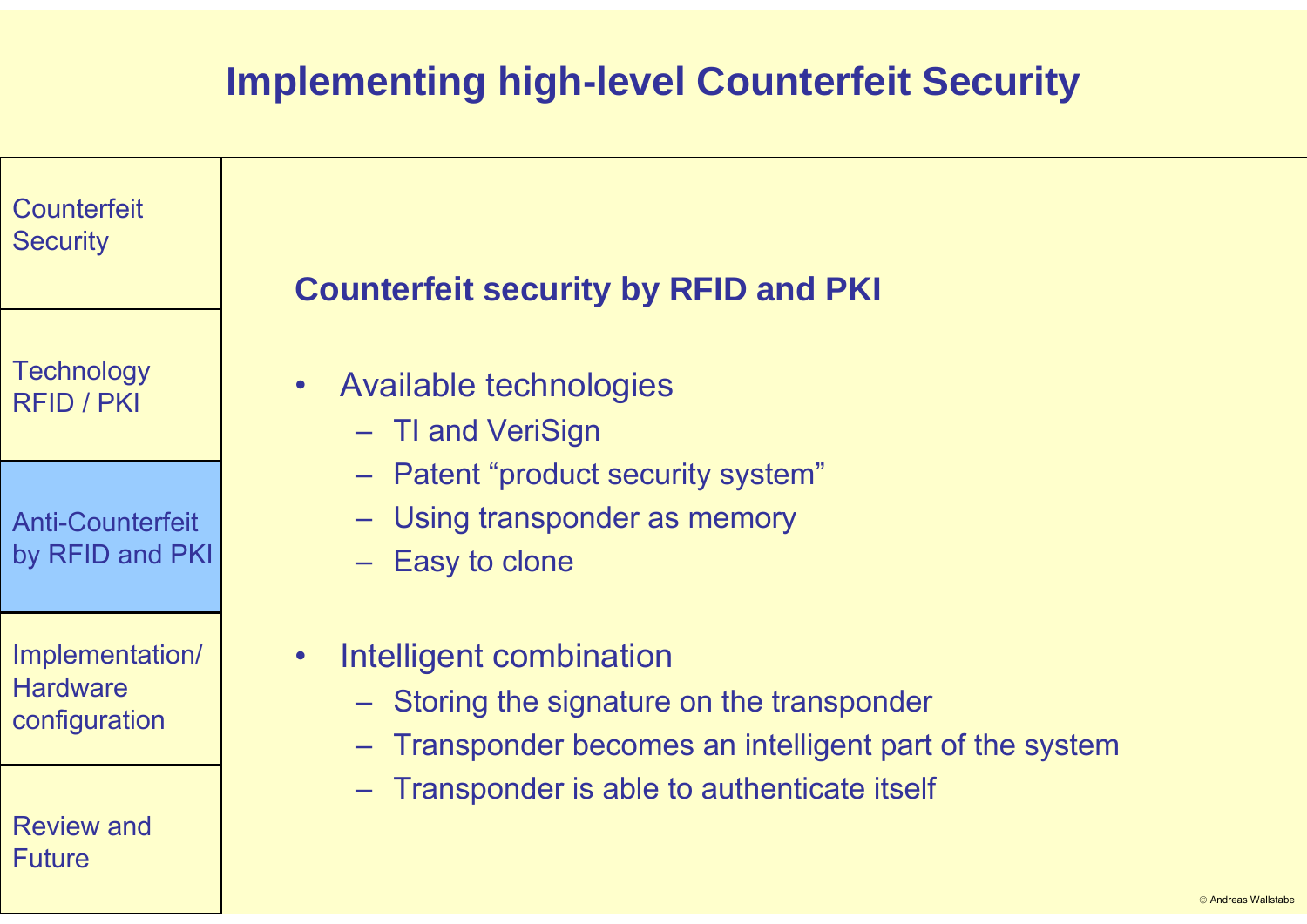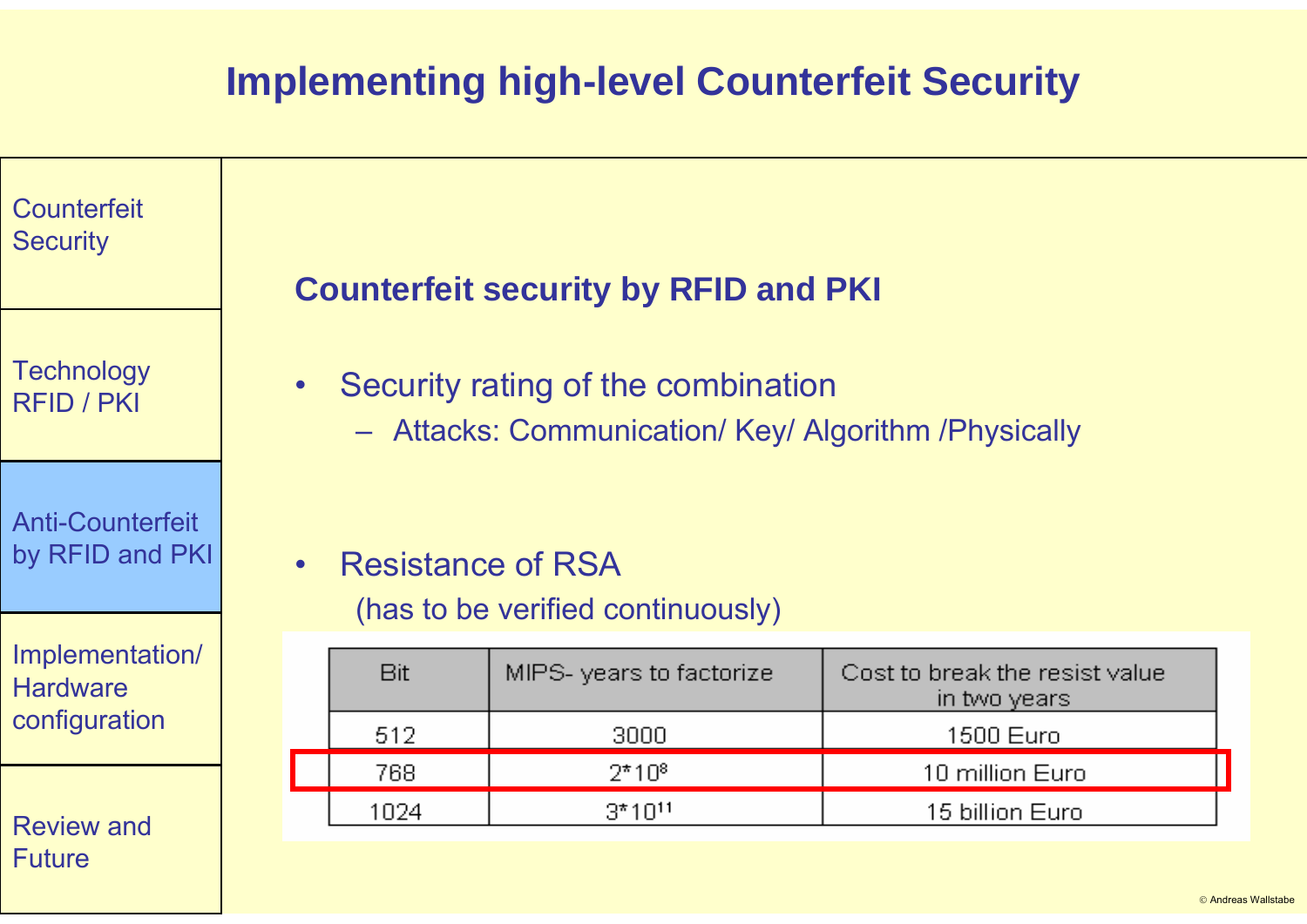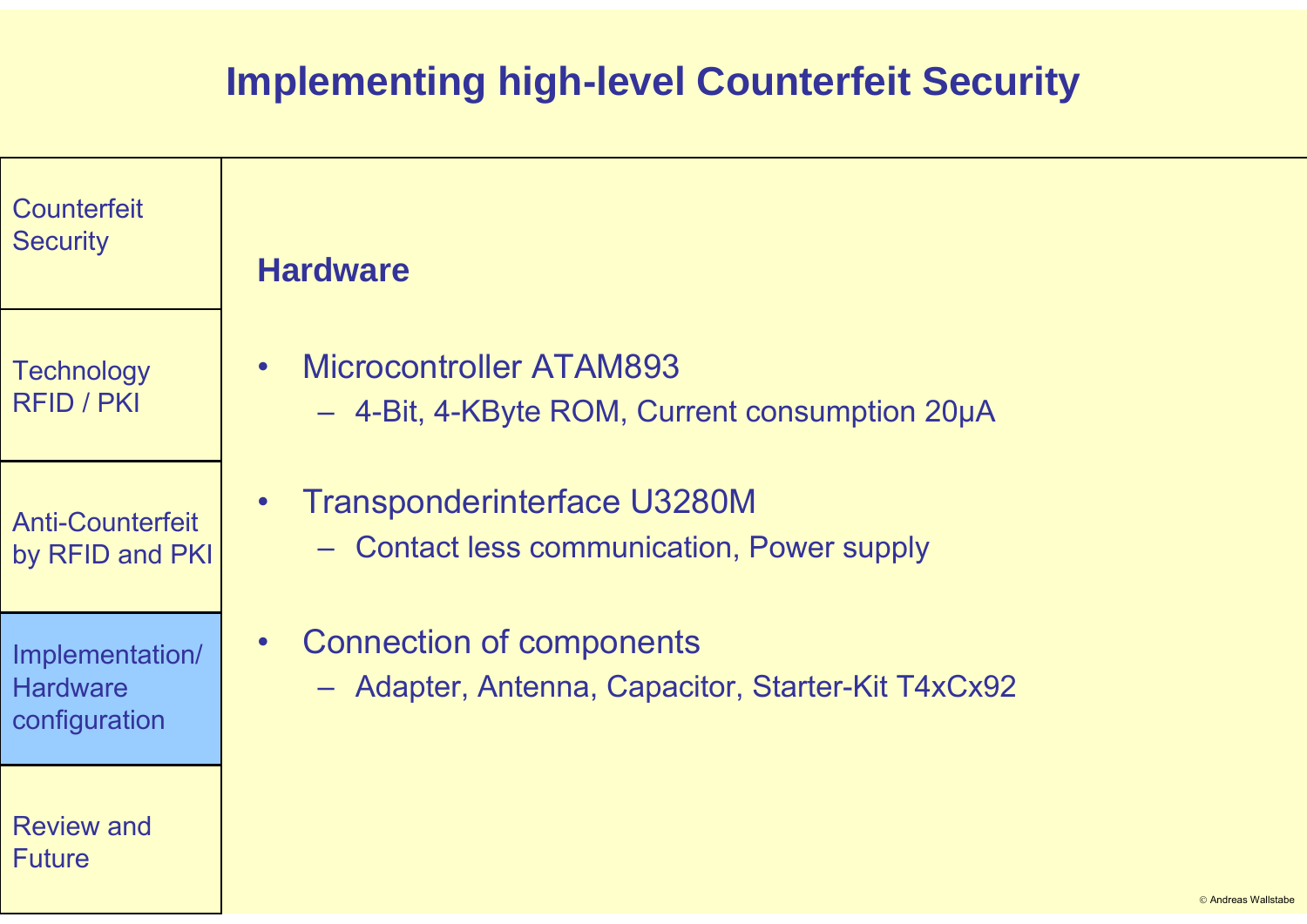| Counterfeit<br><b>Security</b>                      | <b>Hardware</b>                                                                                    |
|-----------------------------------------------------|----------------------------------------------------------------------------------------------------|
| <b>Technology</b><br><b>RFID / PKI</b>              | Microcontroller ATAM893<br>$\bullet$<br>- 4-Bit, 4-KByte ROM, Current consumption 20µA             |
| <b>Anti-Counterfeit</b><br>by RFID and PKI          | <b>Transponderinterface U3280M</b><br>$\bullet$<br>- Contact less communication, Power supply      |
| Implementation/<br><b>Hardware</b><br>configuration | <b>Connection of components</b><br>$\bullet$<br>- Adapter, Antenna, Capacitor, Starter-Kit T4xCx92 |
| <b>Review and</b><br><b>Future</b>                  | © Andreas Wallstabe                                                                                |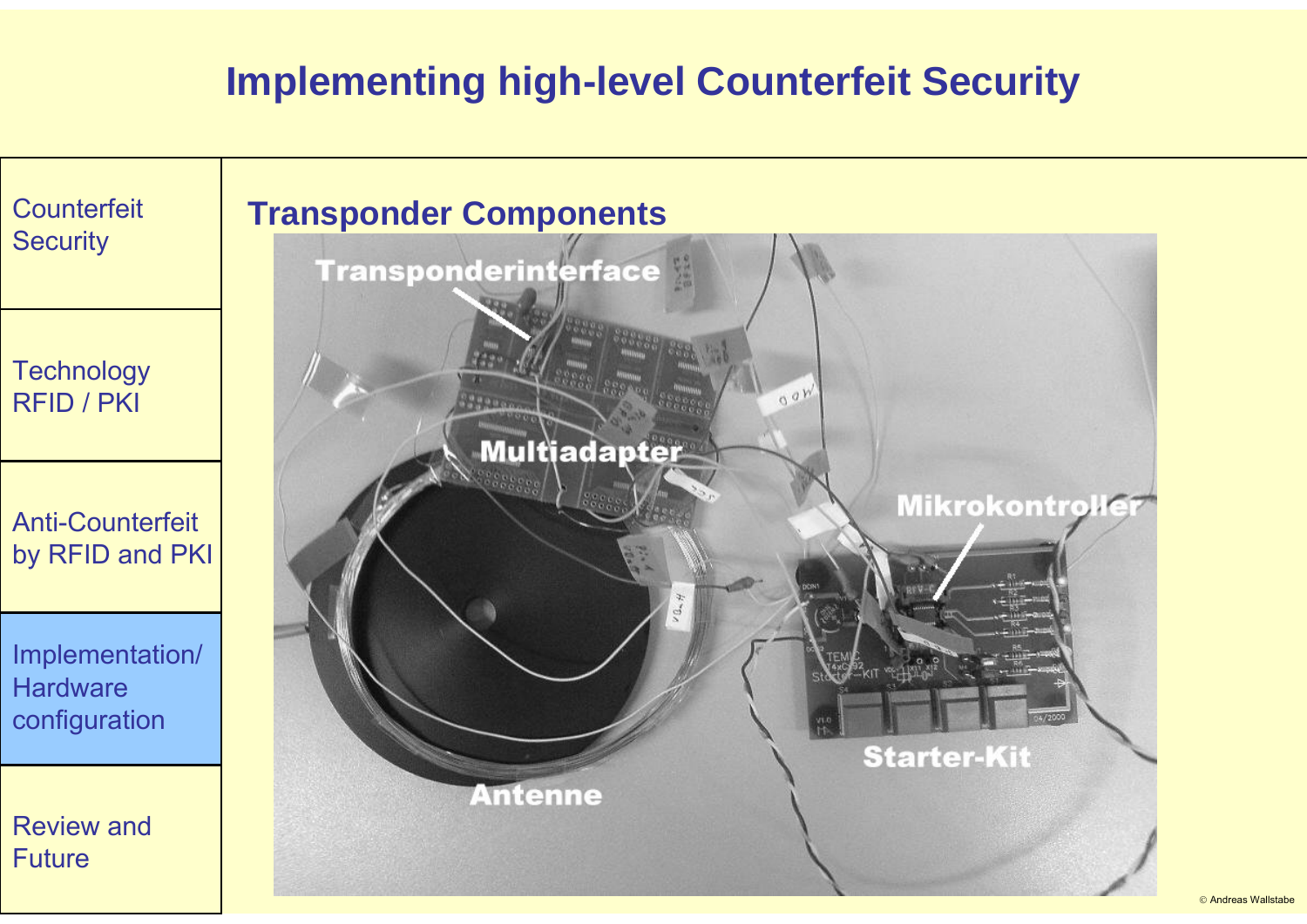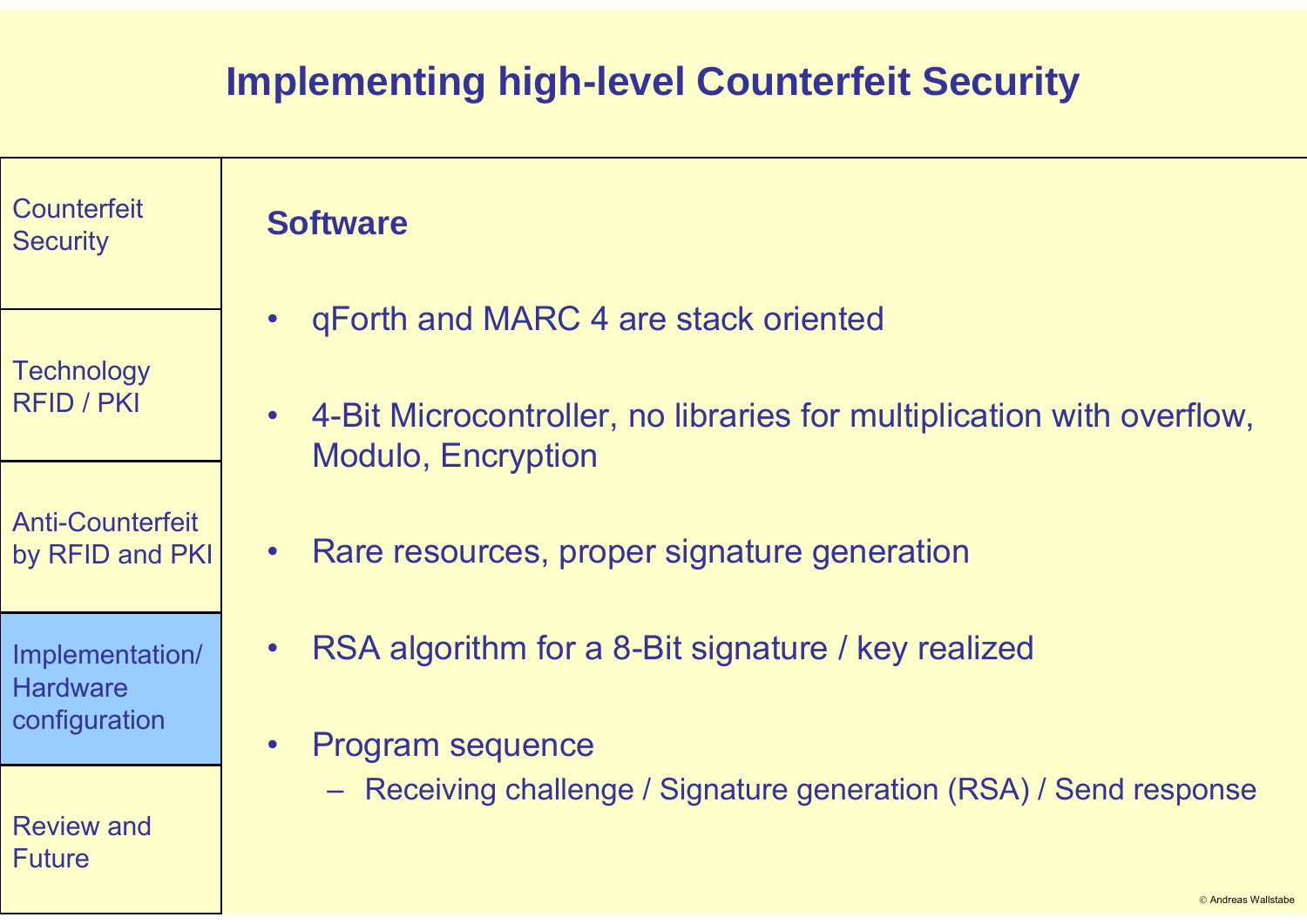| <b>Counterfeit</b><br><b>Security</b>               | <b>Software</b>                                                                                                 |
|-----------------------------------------------------|-----------------------------------------------------------------------------------------------------------------|
| <b>Technology</b><br><b>RFID / PKI</b>              | gForth and MARC 4 are stack oriented<br>$\bullet$                                                               |
|                                                     | 4-Bit Microcontroller, no libraries for multiplication with overflow,<br>$\bullet$<br><b>Modulo, Encryption</b> |
| <b>Anti-Counterfeit</b><br>by RFID and PKI          | Rare resources, proper signature generation<br>$\bullet$                                                        |
| Implementation/<br><b>Hardware</b><br>configuration | RSA algorithm for a 8-Bit signature / key realized                                                              |
|                                                     | <b>Program sequence</b><br>$\bullet$                                                                            |
| <b>Review and</b><br><b>Future</b>                  | - Receiving challenge / Signature generation (RSA) / Send response                                              |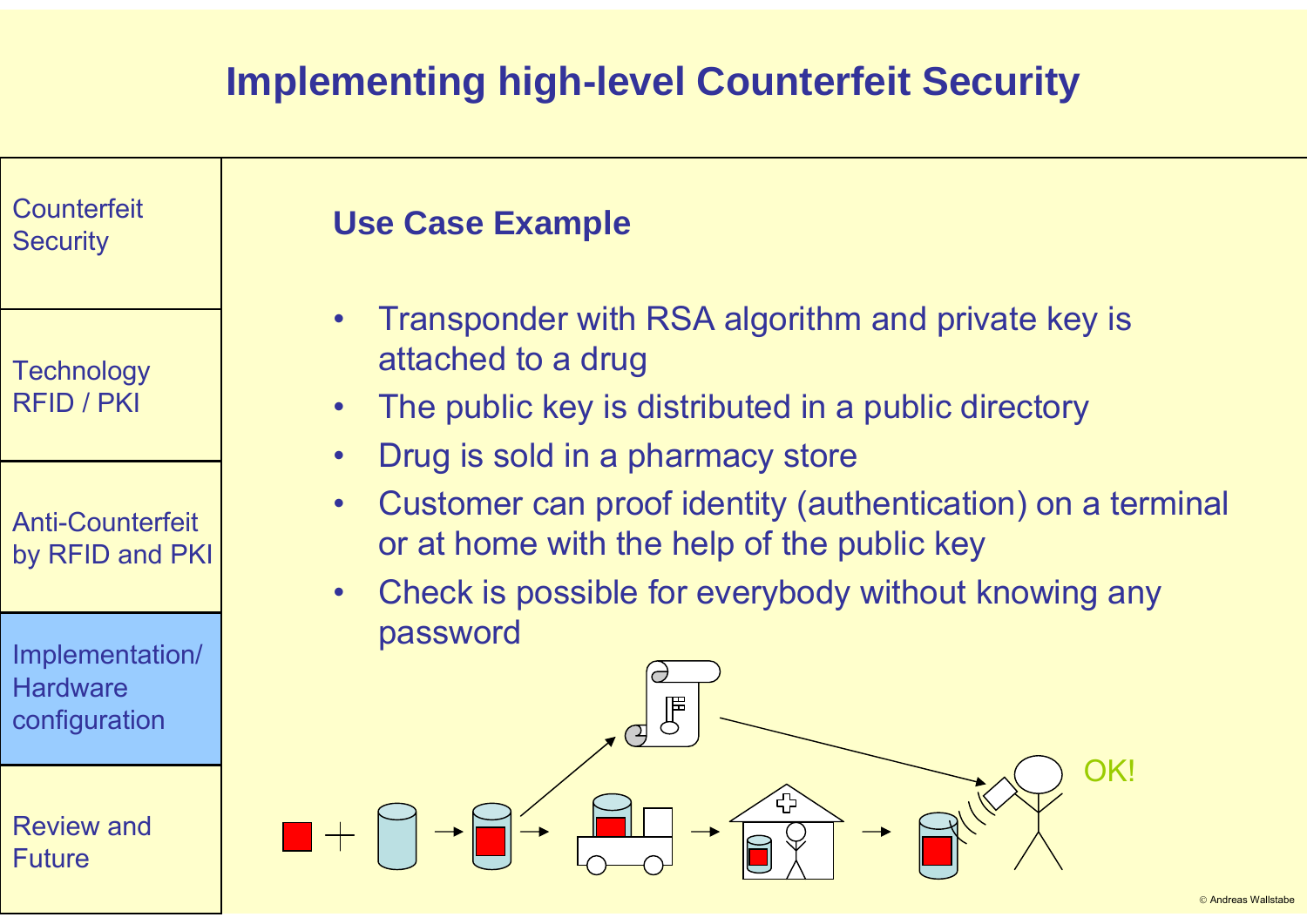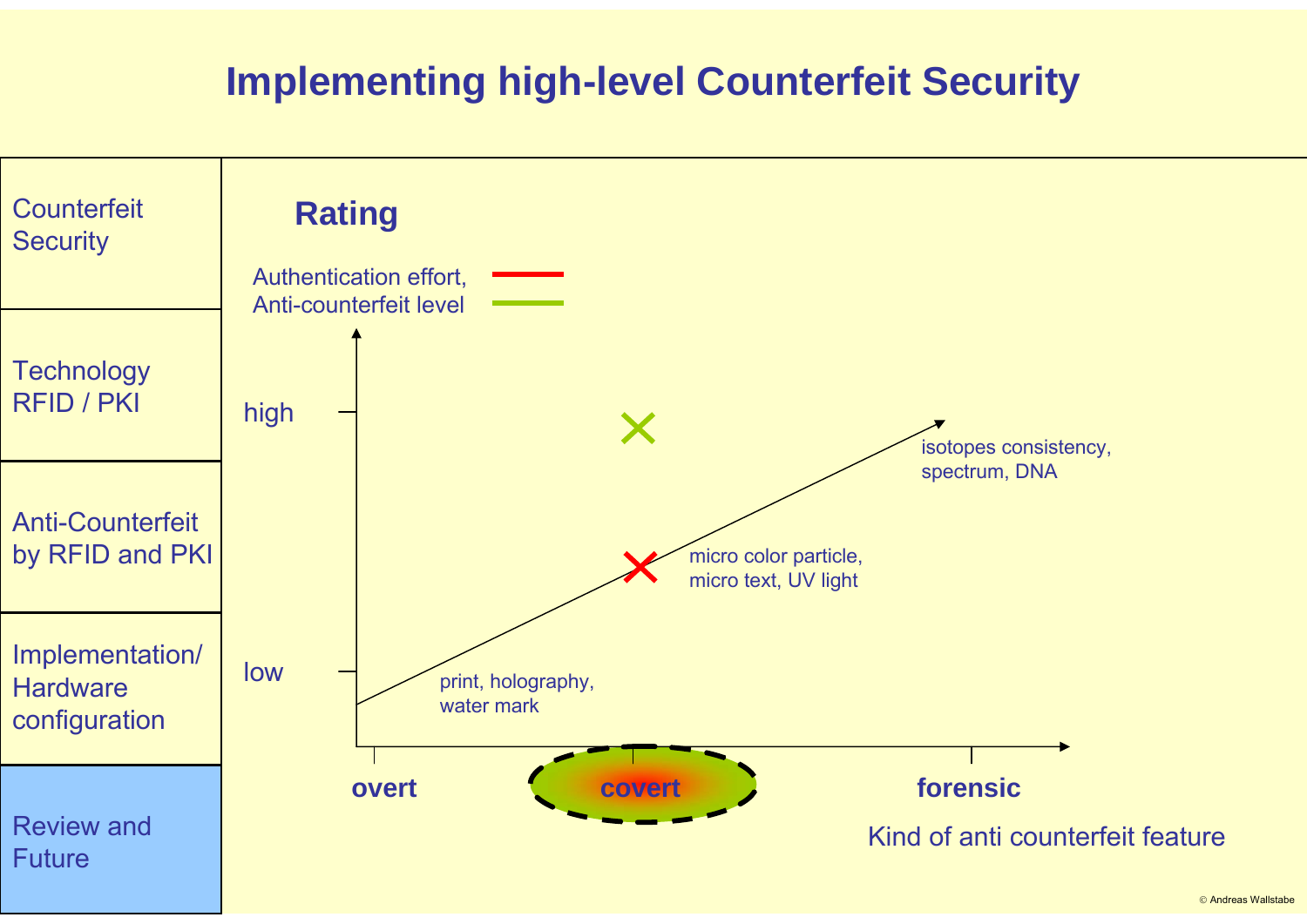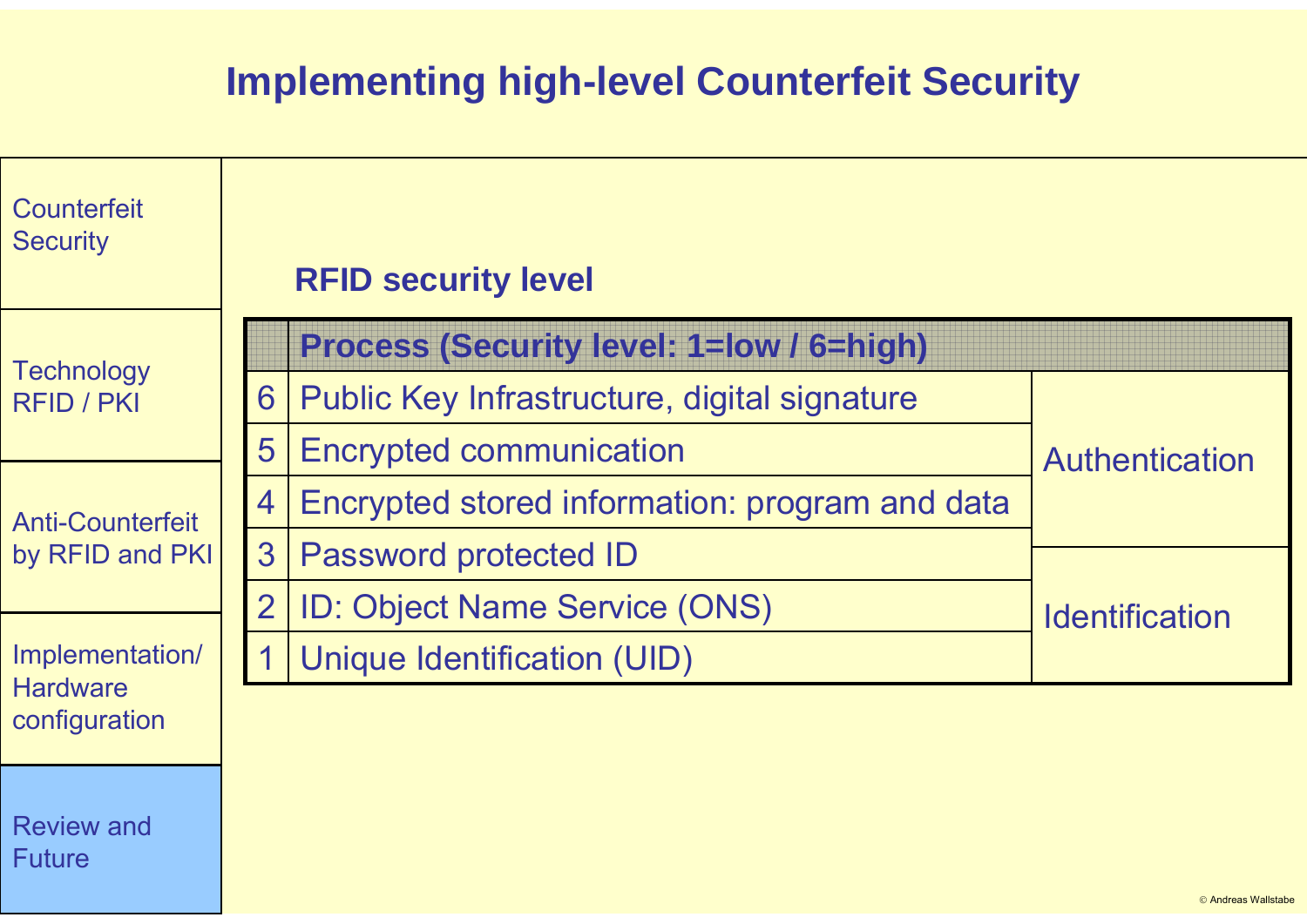| Counterfeit<br><b>Security</b>                                                                    |                | <b>RFID security level</b>                      |                       |  |
|---------------------------------------------------------------------------------------------------|----------------|-------------------------------------------------|-----------------------|--|
| <b>Technology</b><br><b>RFID / PKI</b>                                                            |                | <b>Process (Security level: 1=low / 6=high)</b> |                       |  |
|                                                                                                   | 6              | Public Key Infrastructure, digital signature    |                       |  |
|                                                                                                   | 5              | <b>Encrypted communication</b>                  | <b>Authentication</b> |  |
| <b>Anti-Counterfeit</b><br>by RFID and PKI<br>Implementation/<br><b>Hardware</b><br>configuration | 4              | Encrypted stored information: program and data  |                       |  |
|                                                                                                   | 3              | <b>Password protected ID</b>                    |                       |  |
|                                                                                                   | $\overline{2}$ | <b>ID: Object Name Service (ONS)</b>            | <b>Identification</b> |  |
|                                                                                                   |                | <b>Unique Identification (UID)</b>              |                       |  |
|                                                                                                   |                |                                                 |                       |  |
| <b>Review and</b><br><b>Future</b>                                                                |                |                                                 |                       |  |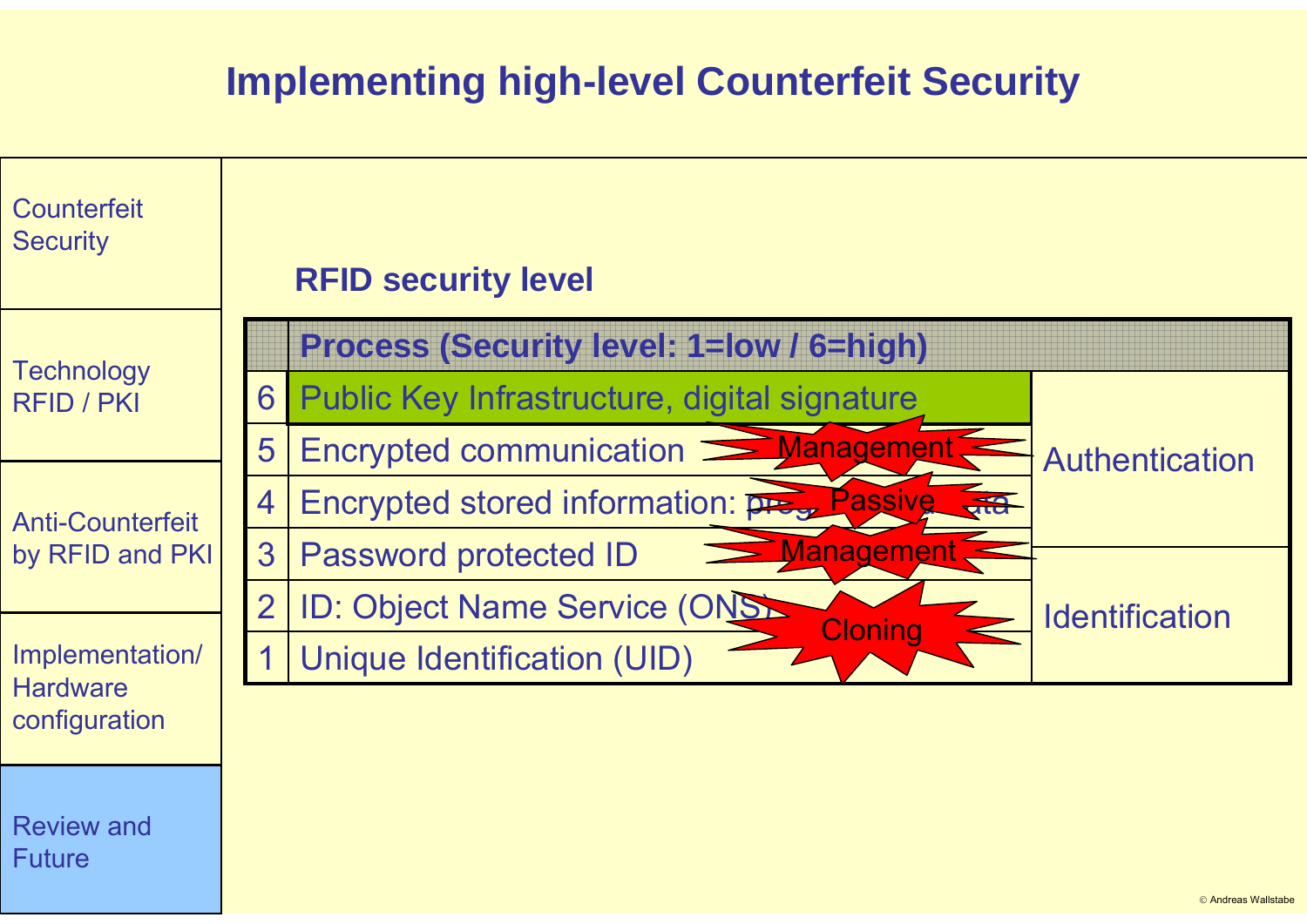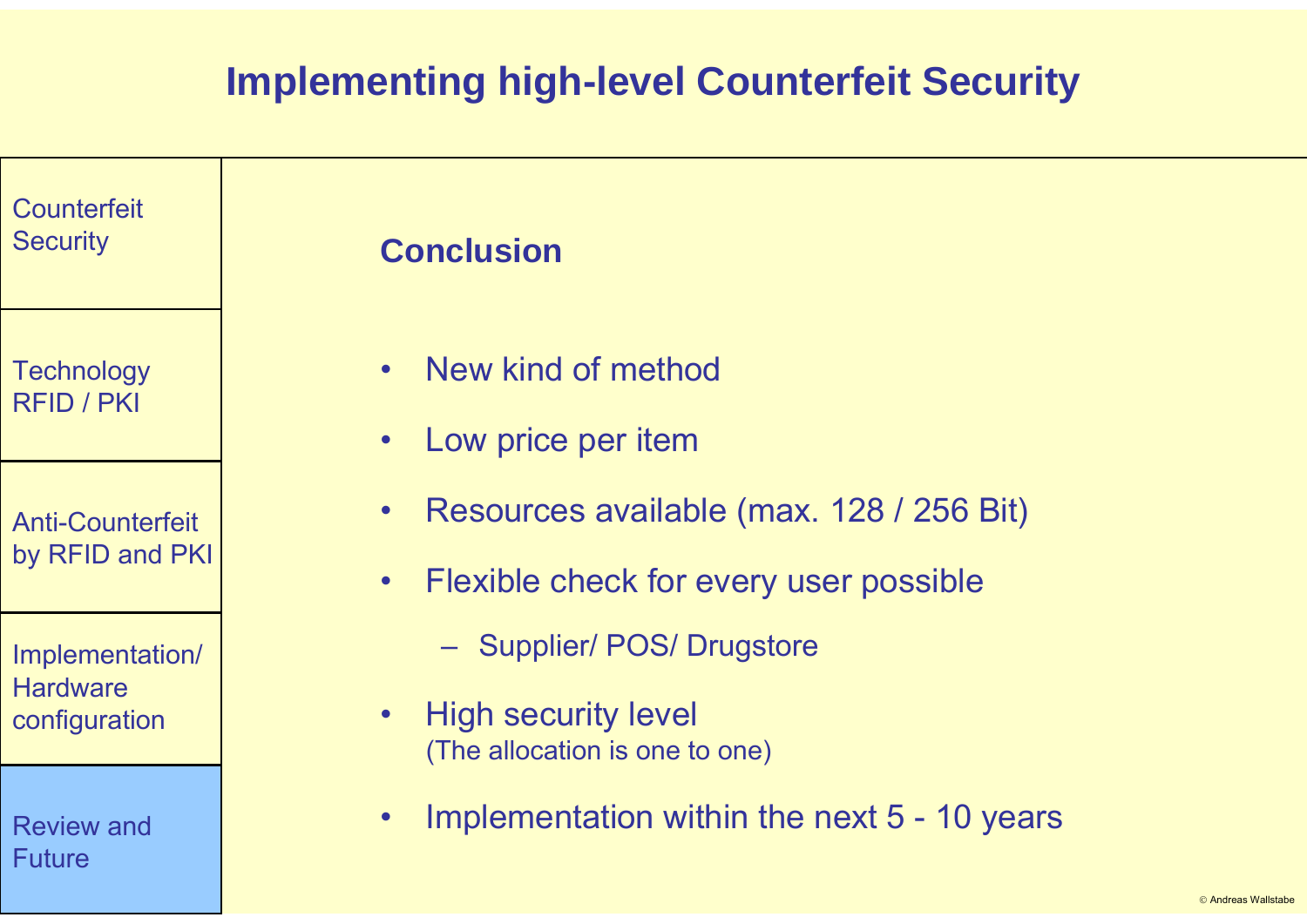| Counterfeit<br><b>Security</b>                      | <b>Conclusion</b>                                                                                            |
|-----------------------------------------------------|--------------------------------------------------------------------------------------------------------------|
| <b>Technology</b><br><b>RFID / PKI</b>              | New kind of method<br>$\bullet$<br>Low price per item<br>$\bullet$                                           |
| <b>Anti-Counterfeit</b><br>by RFID and PKI          | Resources available (max. 128 / 256 Bit)<br>$\bullet$<br>Flexible check for every user possible<br>$\bullet$ |
| Implementation/<br><b>Hardware</b><br>configuration | - Supplier/ POS/ Drugstore<br><b>High security level</b><br>$\bullet$<br>(The allocation is one to one)      |
| <b>Review and</b><br><b>Future</b>                  | Implementation within the next 5 - 10 years<br>$\bullet$                                                     |